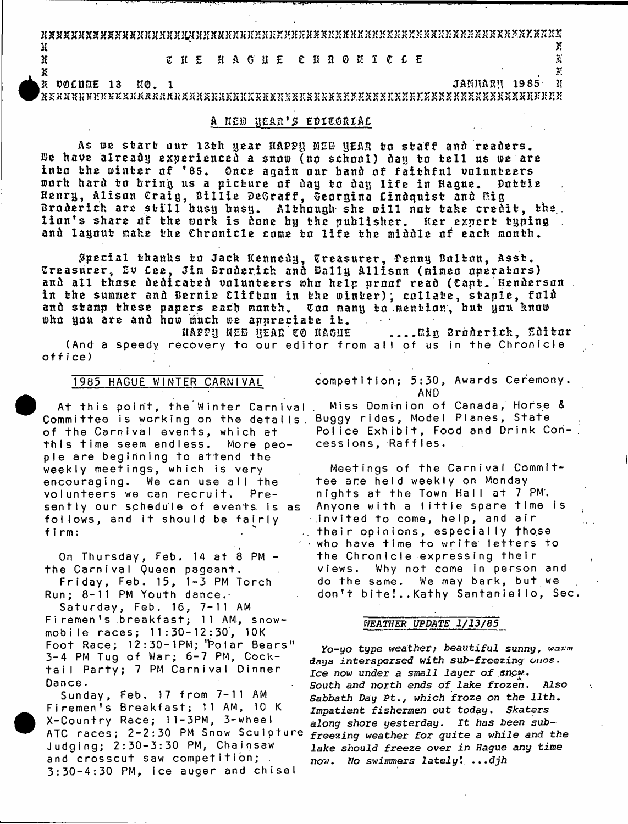SXXX3rXK3CXXJf»X2C2CX2CXKXflCXHXS}tK3c3C2rjnj3:2'X2cXSS3:2:352EKJJX35}:3IK?:S»XSKSK3S3?3J3fXK35XK»3I2r3r

 $\mathbf{X}$ K T T E H A G H E C H R O N I C L E 35 K A G H E 35 K H A G H E 35 K H A G H E 35 K H A G H E 35 K H A G H E 35 K H A G H E 35 K H A G H E 35 K H A G H E 35 K H A G H E 35 K H A G H E 35 K H A G H E 35 K H A G H E 35 K H A

**35 . >5**

25 VOCUfoE 13 K0. 1 JAJU1ARM 1985' 35  $\mathbf x$ x ax a bhasas as as as  $\mathbf x$  as associated as  $\mathbf x$  as  $\mathbf x$  as  $\mathbf x$  as  $\mathbf x$   $\mathbf x$   $\mathbf x$   $\mathbf x$   $\mathbf x$   $\mathbf x$   $\mathbf x$   $\mathbf x$   $\mathbf x$   $\mathbf x$   $\mathbf x$   $\mathbf x$   $\mathbf x$   $\mathbf x$   $\mathbf x$   $\mathbf x$   $\mathbf x$   $\mathbf x$   $\mathbf x$   $\mathbf x$ 

### A *nt® \\*EAR1\* EP1E.0B1AC

As we start our 13th year HAPPH MED WEAR to staff and readers. De have already experienced a snow (no school) day to tell us we are into the winter of '85. Once again our band of faithful volunteers<br>work hard to bring us a picture of day to day life in Haoue. Dottie work hard to bring us a picture of day to day life in Hague. Henry, Alison Craig, Billie DeGraff, Georgina Lindquist and Mig Broderick are still busy busy. Although she will not take credit, the. lion's share of the work is done by the publisher. Her expert typing and layout make the Chronicle come to life the middle of each month.

Special thanks to Jack Kennedy, Treasurer, Penny Bolton, Asst. Treasurer, Ev Cee, Jim Broderick and Wally Allison (mimeo operators) and all those dedicated volunteers who help proof read (Capt. Henderson . in the summer and Bernie Clifton in the winter); collate, staple, fold and stamp these papers each month. Coo many to mention, but you know<br>who you are and how much we annreciate it. who you are and how much we appreciate it.<br>IAPPN NEW HEAR CO HAGUE

**A ...Big Broderick, Editor** (And a speedy recovery to our editor from all of us in the Chronicle **o f f f ceJ**

## **1985 HAGUE WINTER CARNIVAL**

**At this point, the Winter Carnival** Committee is working on the details Buggy rides**,** Model Planes**,** State **of the Carnival events, which at t h i s t i m e seem e n d l e s s . More people are beginning to attend the weekly meetings, which is very** encouraging. We can use all the volunteers we can recruit. Pre**s e n t l y our schedule of events. Is as** follows, and it should be fairly **f i r m :**

**On Thursday, Feb. 14 at 8 PM the C a rn iva l Queen pageant.**

**F r i d a y , Feb. 15, 1 - 3 PM T o r c h** Run; 8-11 PM Youth dance.

**S a t u r d a y , Feb. 16, 7 - 1 1 AM** Firemen's breakfast; 11 AM, snow**m o b i l e r a c e s ; 1 1 : 3 0 - 1 2 : 3 0 , 10K** Foot Race; 12:30-1PM; 'Polar Bears" **3 - 4 PM Tug o f War ; 6 - 7 PM, C o c k**  tail Party; 7 PM Carnival Dinner **Dance.**

**S u n d a y , Fe b. 17 f r o m 7 - 1 1 AM** Firemen's Breakfast; 11 AM, 10 K **X-Country Race; 11-3PM, 3-wheel** ATC races; 2-2:30 PM Snow Sculpture **J u d g i n g ; 2 : 3 0 - 3 : 3 0 PM, C h a i n s a w** and crosscut saw competition; **3 : 3 0 - 4 : 3 0 PM, i c e a u g e r and c h i s e l**

**competition; 5:30, Awards Ceremony. AND**

**Miss Dominion of Canada, Horse &** Police Exhibit, Food and Drink Con**cess i ons , Raf f I e s .**

**Meetings of the Carnival Committ e e a r e h el d weekl y on Monday** nights at the Town Hall at 7 PM. Anyone with a little spare time is **.invited to come, h e lp , and a i r th e ir opinions, especially those** who have time to write letters to the Chronicle expressing their views. Why not come in person and do the same. We may bark, but we don't bite!..Kathy Santaniello, Sec.

#### *WEATHER UPDATE 1/13/85*

**Yo-yo type weather; beautiful sunny, warn days** *interspersed with sub-freezing onos, Ice now under a small layer of* **snc«.** *South and north ends of lake frozen. Also Sabbath Day* **Pt.,** *which froze on the 11th.* **Impatient** *fishermen* **out today.** *Skaters along shore yesterday. It has been subfreezing weather for quite a while and the lake should freeze over in Hague any time n ow***. Wo** *swimmers lately I ...djh*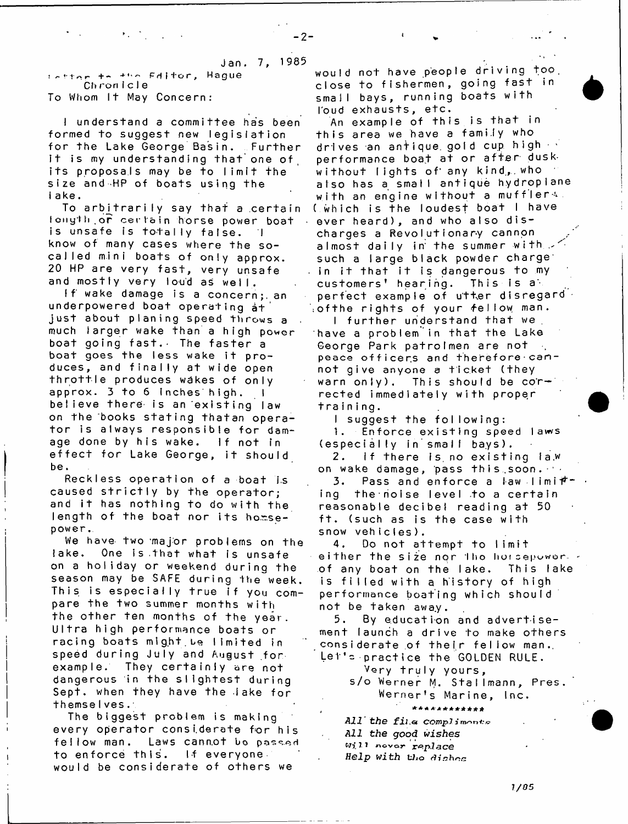**J an . 7, 1985**

! f 1 ' 1 ' ^ r + - P r l i + o r , **Hague Cliron i c I e** To Whom It May Concern:

I understand a committee has been formed to suggest new legislation **for the Lake George Basin. Further** it is my understanding that one of its proposals may be to limit the size and HP of boats using the **lake.**

To arbitrarily say that a certain **Ionyt1** <sup>1</sup> **or c e r la in horse power boat** is unsafe is totally false. I know of many cases where the socalled mini boats of only approx. 20 HP are very fast, very unsafe and mostly very loud as well.

If wake damage is a concern; an **underpowered boat operating at just about planing speed throws a** much larger wake than a high power boat going fast. The faster a boat goes the less wake it produces, and finally at wide open **t h r o t t l e produces wakes of only** approx. 3 to 6 Inches high, 1 believe there is an existing law on the books stating that an operator is always responsible for damage done by his wake. If not in effect for Lake George, it should **be.**

Reckless operation of a boat is caused strictly by the operator; and it has nothing to do with the length of the boat nor its homse**power,.**

We have two major problems on the lake. One is that what is unsafe on a holiday or weekend during the season may be SAFE during the week. This is especially true if you compare the two summer months with the other ten months of the year. Ultra high performance boats or **racing boats might.be lim ited in** speed during July and August for. example. They certainly are not dangerous in the slightest during Sept. when they have the lake for **themseIves.**

**The biggest problem is making every operator considerate for his** feliow man. Laws cannot be passed **to enforce this. If everyone** would be considerate of others we

**would not have people driving too.** close to fishermen, going fast in **small bays, running boats with** I'oud exhausts, etc.

*4*

**An e x a m p l e o f t h i s i s t h a t in t h i s a r e a we have a f a mi . l y who** drives an antique gold cup high  $\cdot$ performance boat at or after dusk **w i t h o u t l i g h t s o f any kind., , who** aiso has a smail antique hydropiane with an engine without a muffler  $\sim$ ( which is the loudest boat I have ever heard), and who also discharges a Revolutionary cannon almost daily in the summer with  $\leq$ such a large black powder charge<sup>\*</sup> . in it that it is dangerous to my customers' hearing. This is a perfect example of utter disregard<sup>1</sup> **\ o f t h e r i g h t s o f y o u r -f e I low man.**

I further understand that we. have a problem<sup>"</sup>in that the Lake **George Park patrolmen are not** peace officers and therefore cannot give anyone a ticket (they warn only). This should be cor**rected immediately with proper t r a i n i n g .**

I suggest the following: 1. Enforce existing speed laws (especially in small bays).

2. If there is no existing la.w on wake damage, pass this soon.  $\cdots$ 

**3.** Pass and enforce a law limit  $\mathbf{r}$ ing the noise level to a certain **reasonable decibel reading at 50 f t . (such as is the case with** snow vehicles).

4. Do not attempt to limit either the size nor tho horsepowerof any boat on the lake. This lake is filled with a history of high **performance boating which should not be taken away.**

5. By education and advertisement launch a drive to make others considerate of their fellow man. Let's practice the GOLDEN RULE.

**Very tru ly yours,** s/o Werner M. Stallmann, Pres.

**Werner's Marine, Inc.**

*t* **\*\*\*\*\*\*\*\*\*\*\*\*** *All the fil .a* **COWpJ J** *All the good wishes wj\_n* **novor** *replace* Help with the dishes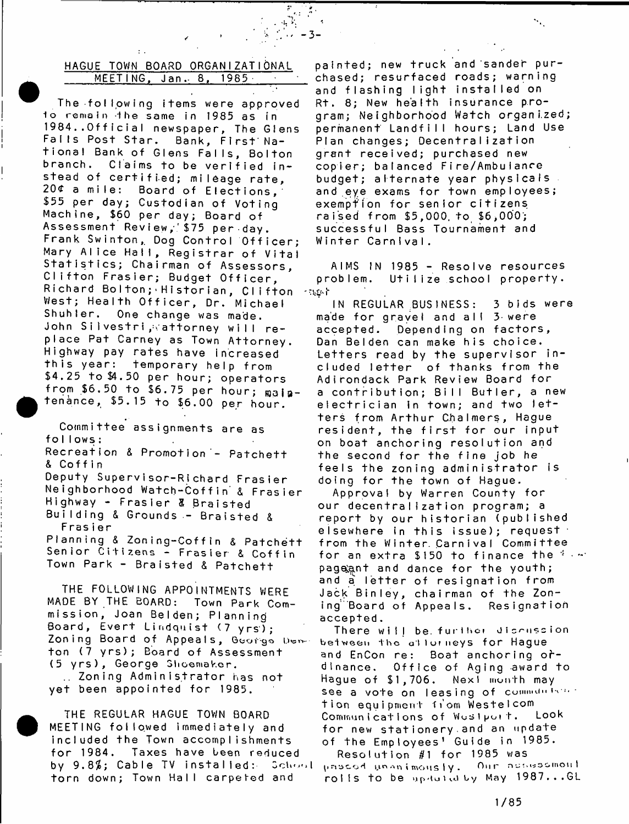## **HAGUE TOWN BOARD ORGANI ZATI ONAL MEETING, Jan.- 8, 1985 •**

- **3** -

**The following items were approved 1o r e m a i n - i he same in 19 85 as in** 1984..Official newspaper, The Glens **Falls Post Star. Bank, F ir s t'N a t i o n a l Bank of Glens F a l ls , Bolton** branch. Claims to be verified instead of certified; mileage rate, 20¢ a mile: Board of Elections, **\$55 per day; Custodian of Voting Machine, \$60 per day; Board of** Assessment Review, \$75 per day. Frank Swinton, Dog Control Officer; Mary Alice Hall, Registrar of Vital Statistics; Chairman of Assessors, Clifton Frasier; Budget Officer,  $Richard$  Bolton; Historian, Clifton -agot West; Health Officer, Dr. Michael Shuhler. One change was made. **John S i 1 v e s t r i ,- - . a t t o r n e y w i l l r e**  place Pat Carney as Town Attorney. **Highway pay rates have increased th is year: temporary help from \$4,25 to \$4.50 per hour; operators** from \$6.50 to \$6.75 per hour; main**tenance, \$5.15 to \$6.00 per hour.**

Committee assignments are as **follows:** Recreation & Promotion - Patchett

**& Cof f i n**

**Deputy Supervisor-Richard Frasier N e i g h b o r h o o d W a t c h - C o f f i n & F r a s i e r** Highway - Frasier & Braisted **B u i l d i n g & Gr ounds - B r a i s t e d & Frasier**

Planning & Zoning-Coffin & Patchett Senior Citizens - Frasier & Coffin Town Park - Braisted & Patchett

**THE FOLLOWING APPOINTMENTS WERE** MADE BY THE BOARD: Town Park Com**mission, Joan Belden; Planning Board, Evert Lindquist (7 yrs); Zoning Board of Appeals, Goofgo ton (7 y r s ); Board of Assessment (5 y r s ) , George Shoemaker. Zoning A d m in is t r a t o r has not yet been appointed for 1985.**

**THE REGULAR HAGUE TOWN BOARD** MEETING followed immediately and included the Town accomplishments **fo r 1984. Taxes have been reduced** by 9.8%; Cable TV installed: School torn down; Town Hall carpeted and

painted; new truck and sander pur**chased; resurfaced roads; warning and f l a s h i n g l i g h t i n s t a l l e d on** R<sup>+</sup>. 8; New health insurance pro**gram; Neighborhood Watch o rg a n iz e d ;** permanent Landfill hours; Land Use **Plan changes; Decentralization g r a n t r e c e i v e d ; purchased new copier; balanced Fire/Ambuianre budget; alternate year physicals** and eye exams for town employees; **exemption for senior citizens r a i s e d f r o m \$ 5 , 0 0 0 . t o \$ 6 , 0 0 0 '; successful Bass Tournament and Winter CarnIvaI.**

AIMS IN 1985 - Resolve resources **problem. U t iI iz e schooI property.**

**IN REGULAR ;BUS1NESS: 3 b i d s we r e** made for gravel and all 3 were accepted. Depending on factors, Dan Belden can make his choice. Letters read by the supervisor included letter of thanks from the **Adirondack Park Review Board for a c o n t r i b u t i o n ; B i l l B u t l e r , a new e l e c t r i c i a n in town; and two l e t t e r s from Arthu r C.halmers, Hague** resident, the first for our input on boat anchoring resolution and the second for the fine job he **feels the zoning adm inistrator is doing for the town of Hague.**

Approval by Warren County for **our decentralization program; a** report by our historian (published <code>elsewhere in this issue</code>); request  $\cdot$ from the Winter. Carnival Committee for an extra \$150 to finance the firm pageant and dance for the youth; and a letter of resignation from **Jack Binley, chairman of the Zoning'Board of Appeals. Resignation accepted.**

There will be further discussion between the attorneys for Hague and EnCon re: Boat anchoring o**r**dinance. Office of Aging award to **Hague o f \$ 1 , 7 0 6 . Nexl month may** see a vote on leasing of community and **t i on equ i pment f t om W e s t e I com** Communications of Woslpoit. for new stationery and an update **of t h e E m p l o y e e s 1 G u i d e in 1 9 85.**

**R e s o l u t i o n #1 f o r 1985 was I** 11 **ri •-» n i mo u S I y . Our mot i I ro I I s t o be up-tu t v.i by May 1 9 8 7 . . . GL**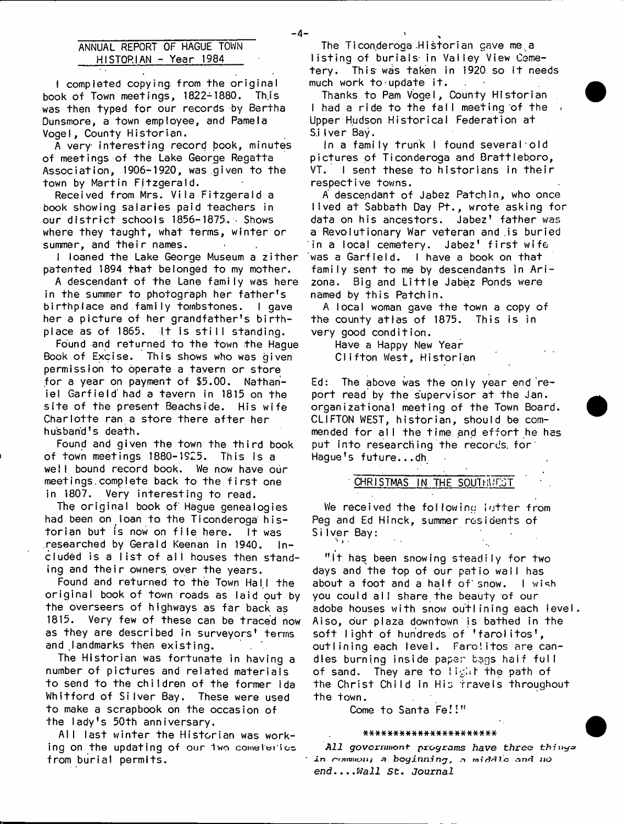# **ANNUAL REPORT OF HAGUE TOWN HISTORIAN - Year 1984**

**I completed copying, from the original book of Town meetings, 1822-1880, Th.is** was then typed for our records by Bertha **Dunsmore, a town employee, and Pamela Vogei, County Historian.**

**A very in te re s tin g record book, minutes of meetings of the Lake George Regatta Association, 1906-1920, was given to the** town by Martin Fitzgerald.

**Received from Mrs. Vila Fitzgerald a book showing salaries paid teachers in** our district schools 1856-1875. Bhows **where they taught, what terms, winter or** summer, and their names.

**i** loaned the Lake George Museum a zither patented 1894 that belonged to my mother.

**A descendant of the Lane family was here** in the summer to photograph her father's **birthplace and family tombstones. I gave** her a picture of her grandfather's birthplace as of 1865. It is still standing.

**Found and returned to the town the Hague** Book of Excise. This shows who was given permission to operate a tayern or store for a year on payment of \$5.00. Nathan**iel G arfie ld ' had a tavern in 1815 on the site of the present Beachside. His wife** Charlotte ran a store there after her **husband's death.**

Found and given the town the third book **of town meetings 1880-1925. This is a wei I bound record book. We now have our** meetings.complete back to the first one **in 1807. Very interesting to read.**

The original book of Hague genealogies **had been on loan to the Ticonderoga historian but is now on file here.** It was **researched by Gerald Keenan in 1940. in**cluded is a list of all houses then stand**ing and their owners over the years.**

Found and returned to the Town Hall the original book of town roads as laid out by the overseers of highways as far back as **1815. Very few of these can be traced now as they are described in surveyors' terms** and landmarks then existing.

The Historian was fortunate in having a **number of pictu res and re la te d m aterials to send to the children of the former Ida Whitford of Silver Bay. These were used to make a scrapbook on the occasion of the lady's 50th anniversary.**

Ail last winter the Historian was work**ing on the updating of our 1wo comeh»rtos. from burial permits.**

The Ticonderoga Historian cave me.a listing of burials in Valley View Cemetery. This was taken in 1920 so it needs **much work to update i t .**

Thanks to Pam Vogel, County Historian I had a ride to the fall meeting of the  $\sqrt{ }$ **Upper Hudson Historical Federation at** S.i Iver Bay.

**In a family trunk I found several old** pictures of Ticonderoga and Brattleboro, VT. I sent these to historians in their **respective towns.**

A descendant of Jabez Patch In, who once **lived at Sabbath Day Pt., wrote asking for** data on his ancestors. Jabez' father was **a Revolutionary War veteran and .is buried in a local cemetery. Jabez' first wife** was a Garfield. I have a book on that family sent to me by descendants in Ari**zona. Big and Little Jabez Ponds were named by this Patch in.**

**A local woman gave the town a copy of the county atlas of 1875. This is in very good condition.**

**Have a Happy New Year Clifton West, Historian**

Ed: The above was the only year end report read by the supervisor at the Jan. **organization al meeting of the Town Board.** CLIFTON WEST, historian, should be commended for all the time and effort he has **put into researching the records, for Hague's fu ture...dh**

**CHRISTMAS IN THE SOUTHWEST**

We received the following letter from **Peg and Ed Hi nek, summer residents of SiIver Bay: %'**

"It has been snowing steadily for two days and the top of our patio wall has about a foot and a half of snow. I wish **you could a l i share the beauty of our adobe houses with snow outlining each level. Aiso, our plaza downtown is bathed in the soft light of hundreds of 'farolitos', outlining each level. Farolitos are candles burning inside paper bags half full of sand. They are to liglif the path of the Christ Child in His travels throughout the town.**

**Come to Santa Fe.'I"**

#### **a\*\*##\*####\*#\*####\*\*\*#\***

*All g o v c r n m o n t p r o g r a m s have three* **thfnya** in common; a boginning, a middle and no *end.***..***.Wall St.* **Journal**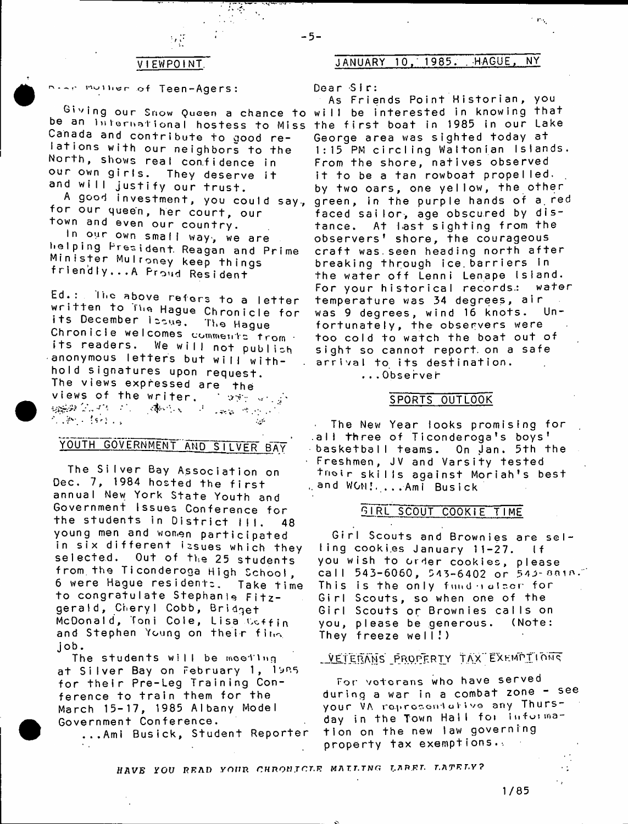$\mathcal{L} \rightarrow \mathcal{L}$ 

**i ^ i n « r of Teen-Agers:**

**be an i**nternational hostess to Miss the first boat in 1985 in our lake Canada and contribute to good re**lations with our neighbors to the** North, shows real confidence in our own girls. They deserve it and will justify our trust.

A good investment, you could say, **for our queen, her court, our** town and even our country.

In our own small way, we are **helpin g President. Reagan and Prime M in is te r Mulroney keep things** friendly...A Proud Resident

Ed.: The above refers to a letter written to The Hague Chronicle for **i t s December iooue. The Hague** Chronicle welcomes comments<sup>trom</sup> its readers. We will not publish anonymous letters but will withhold signatures upon request. **The views expressed are the views of the writer.** *Cost and* . v, ,v." -7 ... . ■ 化学的 经经济  $\sim 10$ 

# **YOUTH GOVERNMENT AND SILVER RAV**

The Silver Bay Association on Dec. 7, 1984 hosted the first annual New York State Youth and **Government Issues Conference for** the students in District III. 48 **young men and women participated** in six different issues which they **s e le cted . Out of the 25 students from.the Ticonderoga High School,** 6 were Hague residents. Take time **to congratulate Stephanie F itz g e ra ld , Cheryl Cobb, Bridget McDonald, Toni Cole, Lisa v.cffin** and Stephen Young on their fina **job.**

**The students will be meeting a t S i l v e r Bay on F e b r u a r y 1, 19R5 for th e ir Pre-Leg Training Con**ference to train them for the **March 1 5 - 1 7 , 1985 Albany Model Government Conference.**

**...Ami Busick, Student Reporter**

# **V I EWPO I NT. JANUARY 1 0 . ' 1 9 8 5 . . HAGUE, NY**

**Dea r -Si r:**

- **5** -

<sup>Giving</sup> our Snow Queen a chance to will be interested in knowing that **As Fr i en ds Po i n t H i s t o r i a n , you** George area was sighted today at 1:15 PM circling Waltonian Islands. **From the shore, natives observed** it to be a tan rowboat propelled. by two oars, one yellow, the other green, in the purple hands of a red faced sailor, age obscured by dis**tance. At hast sighting from the** observers<sup>'</sup> shore, the courageous craft was. seen heading north after breaking through ice barriers in **the water o ff Lenni Lenape Island. For your historical records.: water te m p e r a t u r e was 34 de gr ee s , a i r** was 9 degrees, wind 16 knots. Unfortunately, the observers were **too coId to watch the boat out of** sight so cannot report on a safe **arrival to its destination. . . . Obse rve t**

## **SPORTS OUTLOOK**

**Year looks promising for The New**  $\mathcal{L}$ al**l th**ree of Ticonderoga's boys basketball teams. On <u>Jan. 5th the</u> **JV and V a r s i t y t e s t e d F r e s h m e n , trioir skills against Moriah's best and WON\* Ami B u s i c k**

#### **GIRL SCOUT COOKIE TIME**

Girl Scouts and Brownies are sel**ling cooki.es January 11-27. If you wish to order c oo k ie s , please** call 543-6060, 543-6402 or 543-8818. This is the only fund hatsor for Girl Scouts, so when one of the **Girl Scouts or Brownies calls on you, p l e a s e be ge ne ro u s. ( N o t e :** They freeze well!)

# VETERANS PROPERTY TAX EXEMPTIONS

For veterans who have served during a war in a combat zone - see **your** VA **ro.^ r go e n** '1 **a f » v g any T h u r s ~** day in the Town Hall for informa**t i o n on t h e new law g o v e r n i n g property tax exemptions.-.**

HAVE YOU READ YOUR CHRONICLE MATLING LAREL LATELY?

**1/85**

٠ţ ٠,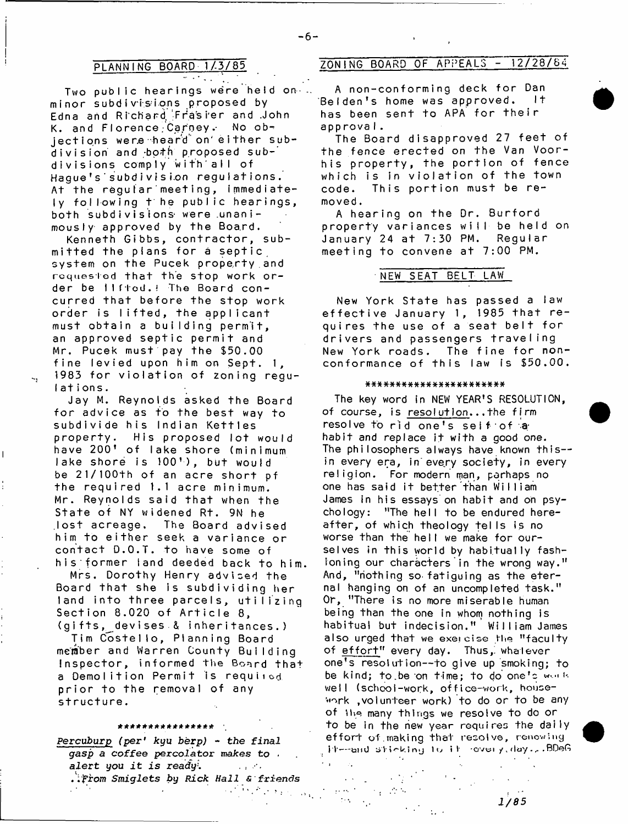$\mathcal{F}^{\mathcal{F}}$  ,  $\mathcal{F}^{\mathcal{F}}$ Two public hearings were held on-.. **m i n o r s u b d i v i s i o n s pr opos e d by Edna arid Ri chard. -Fras i'er and .John** K. and Florence Carney. No ob**j e c t i o n s we re heard" on'either subd iv is io n and -both proposed subd iv is io n s comply with'all of** Haque's subdivision regulations. At the regular meeting, immediate**ly fo llo w in g t he public hearings,** both subdivisions were unanimously approved by the Board.

Kenneth Gibbs, contractor, submitted the plans for a septic system on the Pucek property and requested that the stop work order be Ilftod.! The Board con**curred that before the stop work order is lifted, the applicant must o b t a i n a building permit, an a p p r o ve d s e p t i c p e r m i t and Mr. Pucek must pay the \$50.00** fine levied upon him on Sept. 1, 1983 for violation of zoning regu**lations.**

Jay M. Reynolds asked the Board for advice as to the best way to **subdivide his Indian Kettles property. His proposed lot would** have 200' of lake shore (minimum **lake shore is 100'), but would** be 21/100<sup>th</sup> of an acre short pf **the req u ired 1.1 acre minimum.** Mr. Reynolds said that when the State of NY widened Rt. 9N he **.lost acreage. The Board advised** him to either seek a variance or **contact D.O.T. to have some of his former land deeded back to him.**

**Mrs. Dorothy Henry advised the** Board that she is subdividing her **land into three parcels, utilizing Section 8.020 of Article 8, ( g i f t s , ^ d e v i s e s & i n h e r i t a n c e s . )**

**Tim C o s t e l lo , Planning Board member and Warren County Building Inspector, informed the Board that** a Demolition Permit is required **p r i o r to the removal of any structure.**

#### **ft\*\*\*\*#\*\*)!'\*\*\*\*\*\*#**

**Fercuburp** *(per' kyu berp)* **-** *the final gasp* **a** *coffee percolator makes to , alert you it is ready*.  $\sim 10^{11}$  km s  $^{-1}$ *. .'from Smiglets by Rick Hall & friends*

٠.

 $\mathcal{L}_\bullet$ 

 $\mu \ll \tau$ 

 $2.8\%$ 

 $\sim 10^{-1}$   $\mu$ 

 $\sim 10^{-1}$ 

一个 动作

# **PLANNING BOARD 1/3/85 ZONING BOARD OF APPEALS - 12/28/64**

**A n o n - c o n f o r m i n g deck f o r Dan** Belden's home was approved**.** It has been sent to APA for their **app r o v a I .**

The Board disapproved 27 feet of the fence erected on the Van Voor**his property, the portion of fence which is in violation of the town** code. This portion must be re**moved .**

A hearing on the Dr. Burford property variances will be held on January 24 at 7:30 PM. Regular meeting to convene at 7:00 PM.

**NEW SEAT BELT LAW**

New York State has passed a law effective January 1, 1985 that re**q u i r e s t h e use o f a s e a t belt for d riv e rs and passengers t r a v e l i n g** New York roads. The fine for nonconformance of this law is \$50.00.

#### **#\*\*\*\*#\*####\*##\*####\*\*#\***

**The key word in NEW YEAR'S RESOLUTION, of course, is resolution. . .the firm resolve** to rid one's seif of a habit and replace it with a good one. **The philosophers always have known this in every era, in'every society, in every religion. For modern man, perhaps no one has said it better than William** James in his essays on habit and on psychology: "The hell to be endured here**a f t e r , of which theology te l Is is no** worse than the hell we make for ourselves in this world by habitually fash**ioning our characters in the wrong way." And, "nothing so-fatiguing as the eter**nal hanging on of an uncompleted task." **Or, "There is no more miserable human being than the one in whom nothing is habitual but indecision." William James** also urged that we exercise the **"**faculty of effort" every day. Thus, whalever **one's resolution— to give up smoking; to be kind; to be on time; to do one's work weiI (schooi-wock, off** ice-work, **housework , volunteer work) to do or to be any o f ihe many things we resolve to do or to be in the new year requires the daily** effort of making that resolve, renowing **i t** — a n d s V i i m j l u i f - c v c i /,dcr/.,- **. BDeG**

 $1/85$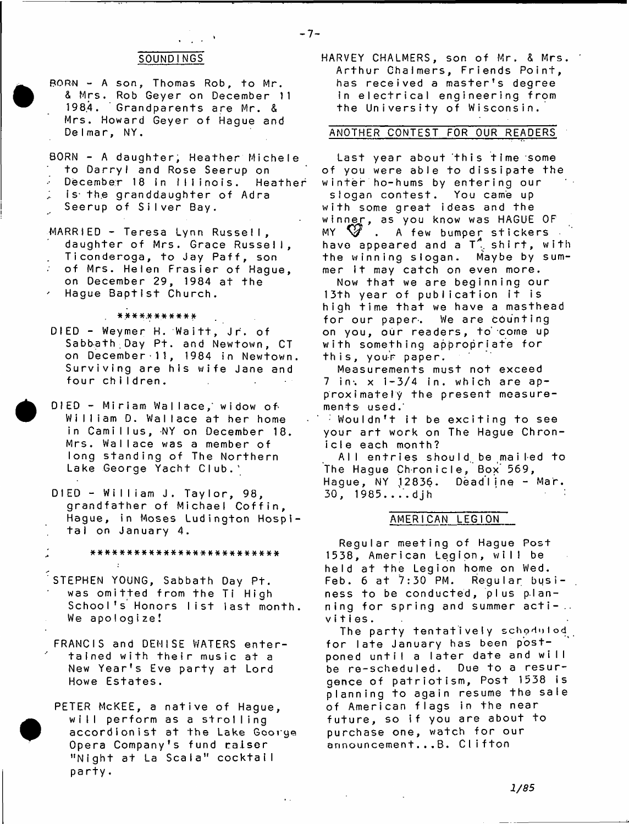## **SOUNDINGS**

- **BORN A son, Thomas Rob, to Mr. & M r s . Rob G e y e r on December 11 198.4. Grandparents are Mr. & Mrs. Howard Geyer of Hague and D e l ma r , NY.**
- BORN A daughter, Heather Michele **to Darryl and Rose Seerup on**
- **December 18 in Illinois. Heather**
- **Is the granddaughter of Adra**
- **Seerup of Silver Bay.**
- **MARRIED Teresa Lynn Russell, daughter of Mrs. Grace Russell,** Ticonderoga, to Jay Paff, son
- **of Mrs. Helen Frasier of Hague,**
- on December 29, 1984 at the Hague Baptist Church.

**\*\*\*\*.\*\*\*\*\*\*\***

- DIED Weymer H. Waitt, Jr. of Sabbath Day Pt. and Newtown, CT **on Decembe r •11, 1984 in Newtown. Surviving are his wife Jane and four children.**
- **DIED Miriam Wa I l a c e , ' wi dow o f** William D. Wallace at her home **in Camillus, NY on December 18.** Mrs. Wallace was a member of **long standing of The Northern Lake George Yacht Club.'**
- **DIED William J, Taylor, 98, grandfather of Michael Coffin, Hague, in Moses Ludington Hospit a l on J an ua ry 4.**

**; \* \* \* \* \* \* \* \* \* \* \* \* \* \* \* \* \* \* \* \* \* \* \* \* \* \***

- STEPHEN YOUNG, Sabbath Day Pt. was omitted from the Ti High **School's Honors list last month. We a p o l o g i z e !**
- **FRANCIS and DENISE WATERS enter**tained with their music at a New Year's Eve party at Lord **Howe Estates.**

**PETER McKEE, a native of Hague, wi I I p e r f o r m as a s t r o l I i ng accordionist at the Lake George Opera Company's fund raiser** "Night at La Scala" cocktail **pa r t y .**

HARVEY CHALMERS, son of Mr. & Mrs. **Arthur Chalmers, Friends Point,** has received a master's degree In electrical engineering from **the University of Wisconsin.**

# **ANOTHER CONTEST FOR OUR READERS**

**Last year about this time some of you were able to dissipate the** winter ho-hums by entering our slogan contest. You came up **with some great ideas and the w i n n e r , as you know was HAGUE OF**  $MY \times W$ . A few bumper stickers have appeared and a T<sup>a</sup> shirt, with<br>the winning slogan. Maybe by sumthe winning slogan. mer it may catch on even more.

Now that we are beginning our 13th year of publication it is high time that we have a masthead for our paper. We are counting on you, our readers, to come up **with something appropriate for this, y o u- r p a p e r .**

**Measurements must not exceed**  $7$  in,  $x$   $1 - 3/4$  in, which are ap**proximately the present measurements used.'**

**Wouldn't it be exciting to see** your art work on The Hague Chron**icle each month?**

**A l l e n t r i e s shou I d. be ma i l ed t o** The Hague Chronicle, Box 569, **Ha g u e , NY ,12836. Deadline - Mar. 30, 1985....djh** 

### **AMERICAN LEGION**

**Regular meeting of Hague Post 1538, American Legion, will be held at the Legion home on Wed.** Feb. 6 at 7:30 PM. Regular business to be conducted, plus planning for spring and summer acti-.. **v i t i es .**

The party tentatively schoduled for late January has been postponed until a later date and will be re-scheduled. Due to a resur**gence of patriotism, Post 1538 is planning to again resume the sale of American flags i n the near f u t u r e , so i f you are about to purchase one, watch for our announcement...B. Clifton**

- **7** -